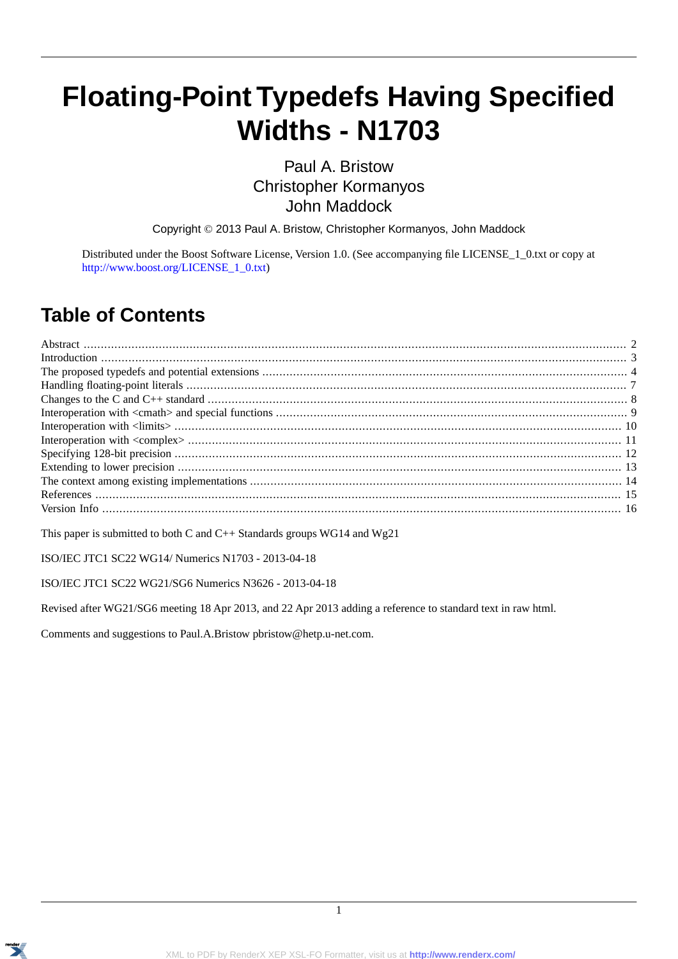# **Floating-Point Typedefs Having Specified Widths - N1703**

Paul A. Bristow Christopher Kormanyos John Maddock

Copyright © 2013 Paul A. Bristow, Christopher Kormanyos, John Maddock

Distributed under the Boost Software License, Version 1.0. (See accompanying file LICENSE\_1\_0.txt or copy at [http://www.boost.org/LICENSE\\_1\\_0.txt\)](http://www.boost.org/LICENSE_1_0.txt)

#### **Table of Contents**

This paper is submitted to both C and C++ Standards groups WG14 and Wg21

ISO/IEC JTC1 SC22 WG14/ Numerics N1703 - 2013-04-18

#### ISO/IEC JTC1 SC22 WG21/SG6 Numerics N3626 - 2013-04-18

Revised after WG21/SG6 meeting 18 Apr 2013, and 22 Apr 2013 adding a reference to standard text in raw html.

Comments and suggestions to Paul.A.Bristow pbristow@hetp.u-net.com.

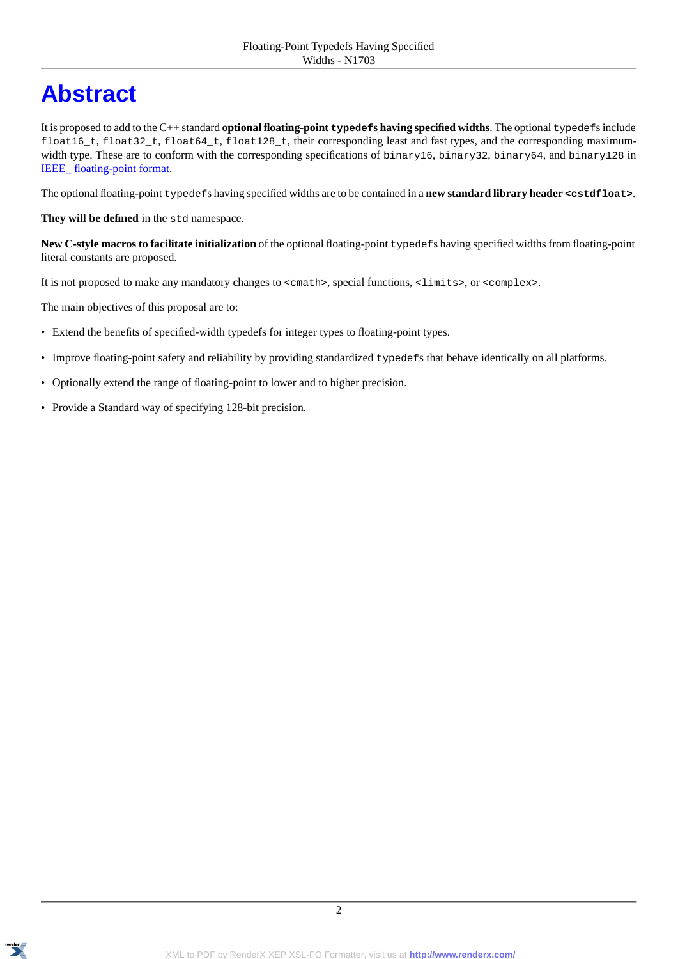## <span id="page-1-0"></span>**[Abstract](#page-1-0)**

It is proposed to add to the C++ standard **optional floating-point typedefs having specified widths**. The optional typedefs include float16\_t, float32\_t, float64\_t, float128\_t, their corresponding least and fast types, and the corresponding maximumwidth type. These are to conform with the corresponding specifications of binary16, binary32, binary64, and binary128 in [IEEE\\_ floating-point format.](http://en.wikipedia.org/wiki/IEEE_floating_point)

The optional floating-point typedefs having specified widths are to be contained in a **new standard library header <cstdfloat>**.

They will be defined in the std namespace.

**New C-style macros to facilitate initialization** of the optional floating-point typedefs having specified widths from floating-point literal constants are proposed.

It is not proposed to make any mandatory changes to <cmath>, special functions, <limits>, or <complex>.

The main objectives of this proposal are to:

- Extend the benefits of specified-width typedefs for integer types to floating-point types.
- Improve floating-point safety and reliability by providing standardized typedefs that behave identically on all platforms.
- Optionally extend the range of floating-point to lower and to higher precision.
- Provide a Standard way of specifying 128-bit precision.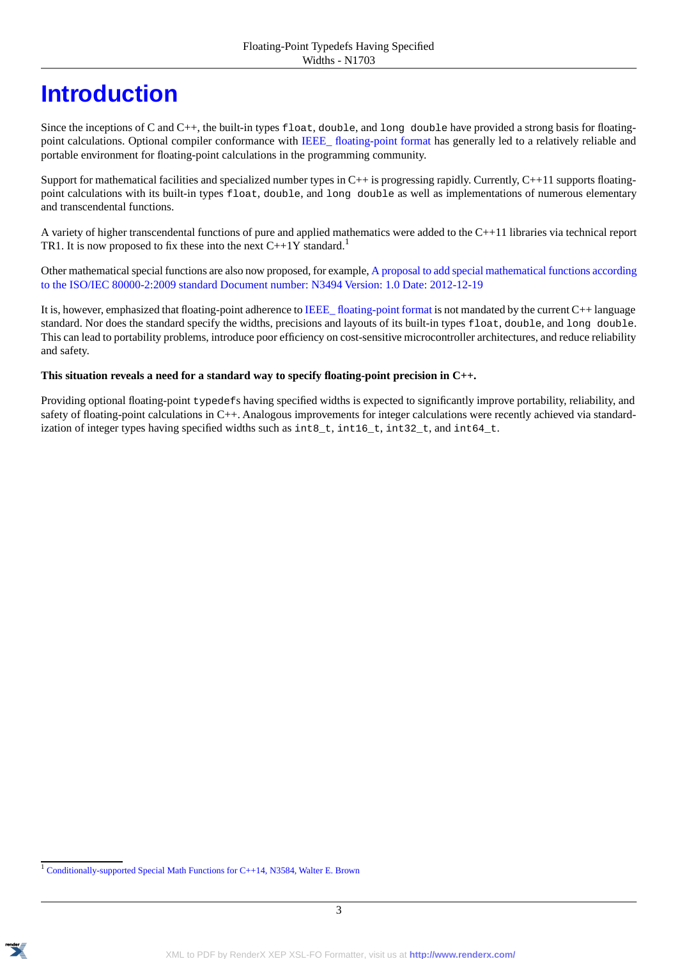### <span id="page-2-0"></span>**[Introduction](#page-2-0)**

Since the inceptions of C and C++, the built-in types float, double, and long double have provided a strong basis for floating-point calculations. Optional compiler conformance with [IEEE\\_ floating-point format](http://en.wikipedia.org/wiki/IEEE_floating_point) has generally led to a relatively reliable and portable environment for floating-point calculations in the programming community.

Support for mathematical facilities and specialized number types in C++ is progressing rapidly. Currently, C++11 supports floatingpoint calculations with its built-in types float, double, and long double as well as implementations of numerous elementary and transcendental functions.

A variety of higher transcendental functions of pure and applied mathematics were added to the C++11 libraries via technical report TR1. It is now proposed to fix these into the next  $C+1Y$  standard.<sup>1</sup>

Other mathematical special functions are also now proposed, for example, [A proposal to add special mathematical functions according](http://www.open-std.org/JTC1/SC22/WG21/docs/papers/2013/n3494.pdf) [to the ISO/IEC 80000-2:2009 standard Document number: N3494 Version: 1.0 Date: 2012-12-19](http://www.open-std.org/JTC1/SC22/WG21/docs/papers/2013/n3494.pdf)

It is, however, emphasized that floating-point adherence to [IEEE\\_ floating-point format](http://en.wikipedia.org/wiki/IEEE_floating_point) is not mandated by the current C++ language standard. Nor does the standard specify the widths, precisions and layouts of its built-in types float, double, and long double. This can lead to portability problems, introduce poor efficiency on cost-sensitive microcontroller architectures, and reduce reliability and safety.

#### This situation reveals a need for a standard way to specify floating-point precision in C++.

Providing optional floating-point typedefs having specified widths is expected to significantly improve portability, reliability, and safety of floating-point calculations in C++. Analogous improvements for integer calculations were recently achieved via standardization of integer types having specified widths such as int8\_t, int16\_t, int32\_t, and int64\_t.



<sup>&</sup>lt;sup>1</sup> [Conditionally-supported Special Math Functions for C++14, N3584, Walter E. Brown](http://www.open-std.org/JTC1/SC22/WG21/docs/papers/2013/n3548.pdf)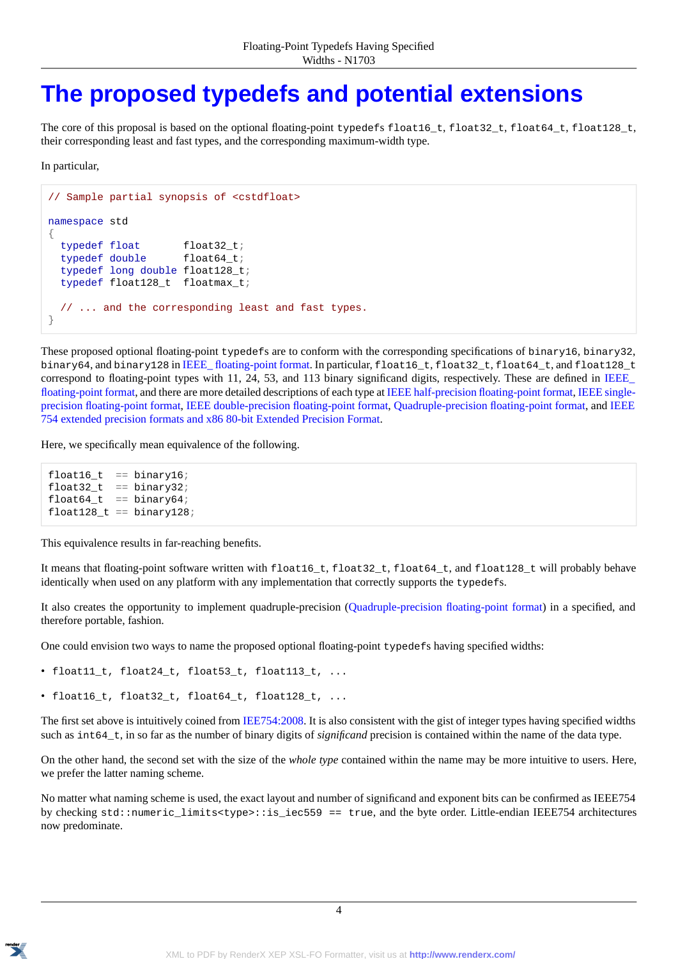#### <span id="page-3-0"></span>**[The proposed typedefs and potential extensions](#page-3-0)**

The core of this proposal is based on the optional floating-point typedefs float16\_t, float32\_t, float64\_t, float128\_t, their corresponding least and fast types, and the corresponding maximum-width type.

In particular,

```
// Sample partial synopsis of <cstdfloat>
namespace std
{
  typedef float float32 t;
  typedef double float64 t;
  typedef long double float128_t;
  typedef float128_t floatmax_t;
  // ... and the corresponding least and fast types.
}
```
These proposed optional floating-point typedefs are to conform with the corresponding specifications of binary16, binary32, binary64, and binary128 in [IEEE\\_ floating-point format](http://en.wikipedia.org/wiki/IEEE_floating_point). In particular, float16\_t, float32\_t, float64\_t, and float128\_t correspond to floating-point types with 11, 24, 53, and 113 binary significand digits, respectively. These are defined in [IEEE\\_](http://en.wikipedia.org/wiki/IEEE_floating_point) [floating-point format,](http://en.wikipedia.org/wiki/IEEE_floating_point) and there are more detailed descriptions of each type at [IEEE half-precision floating-point format](http://en.wikipedia.org/wiki/Half_precision_floating-point_format), [IEEE single](http://en.wikipedia.org/wiki/Single_precision_floating-point_format)[precision floating-point format,](http://en.wikipedia.org/wiki/Single_precision_floating-point_format) [IEEE double-precision floating-point format,](http://en.wikipedia.org/wiki/Double_precision_floating-point_format) [Quadruple-precision floating-point format](http://en.wikipedia.org/wiki/Quadruple-precision_floating-point_format), and [IEEE](http://en.wikipedia.org/wiki/Extended_precision#IEEE_754_extended_precision_formats) [754 extended precision formats and x86 80-bit Extended Precision Format.](http://en.wikipedia.org/wiki/Extended_precision#IEEE_754_extended_precision_formats)

Here, we specifically mean equivalence of the following.

```
float16_t == binary16;
float32_t = = binary32;float64_t = = binary64;
float128_t == binary128;
```
This equivalence results in far-reaching benefits.

It means that floating-point software written with float16 t, float32 t, float64 t, and float128 t will probably behave identically when used on any platform with any implementation that correctly supports the typedefs.

It also creates the opportunity to implement quadruple-precision [\(Quadruple-precision floating-point format](http://en.wikipedia.org/wiki/Quadruple-precision_floating-point_format)) in a specified, and therefore portable, fashion.

One could envision two ways to name the proposed optional floating-point typedefs having specified widths:

- float11\_t, float24\_t, float53\_t, float113\_t, ...
- float16\_t, float32\_t, float64\_t, float128\_t, ...

The first set above is intuitively coined from [IEE754:2008.](http://dx.doi.org/10.1109/IEEESTD.2008.4610935) It is also consistent with the gist of integer types having specified widths such as int64\_t, in so far as the number of binary digits of *significand* precision is contained within the name of the data type.

On the other hand, the second set with the size of the *whole type* contained within the name may be more intuitive to users. Here, we prefer the latter naming scheme.

No matter what naming scheme is used, the exact layout and number of significand and exponent bits can be confirmed as IEEE754 by checking std::numeric\_limits<type>::is\_iec559 == true, and the byte order. Little-endian IEEE754 architectures now predominate.

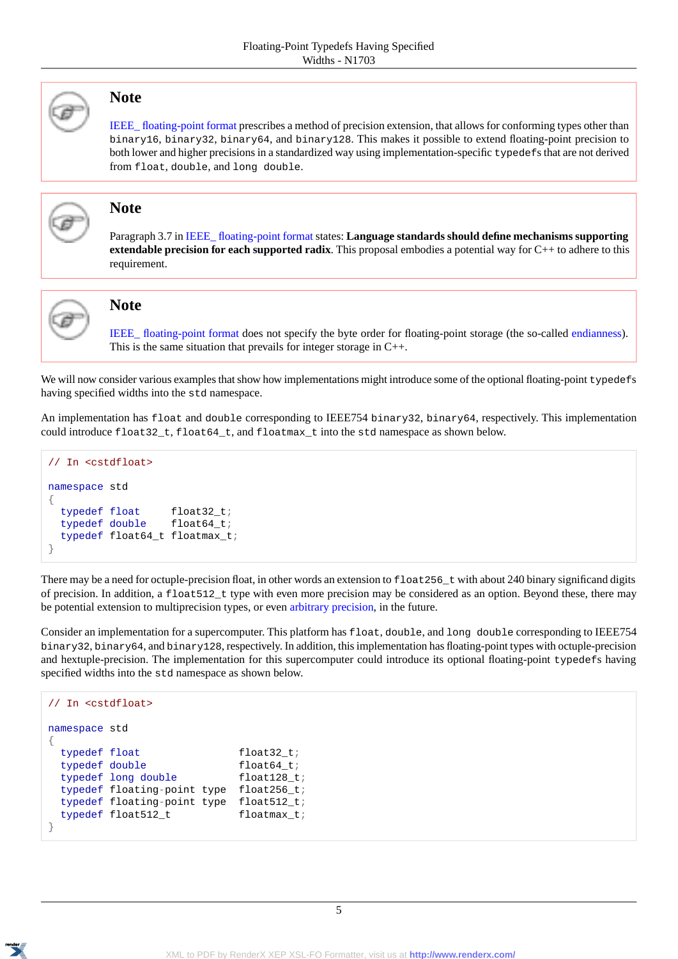

#### **Note**

[IEEE\\_ floating-point format](http://en.wikipedia.org/wiki/IEEE_floating_point) prescribes a method of precision extension, that allows for conforming types other than binary16, binary32, binary64, and binary128. This makes it possible to extend floating-point precision to both lower and higher precisions in a standardized way using implementation-specific typedefs that are not derived from float, double, and long double.



#### **Note**

Paragraph 3.7 in [IEEE\\_ floating-point format](http://en.wikipedia.org/wiki/IEEE_floating_point) states: **Language standards should define mechanisms supporting extendable precision for each supported radix**. This proposal embodies a potential way for C++ to adhere to this requirement.



#### **Note**

[IEEE\\_ floating-point format](http://en.wikipedia.org/wiki/IEEE_floating_point) does not specify the byte order for floating-point storage (the so-called [endianness](http://en.wikipedia.org/wiki/Endianness#Floating-point_and_endianness)). This is the same situation that prevails for integer storage in C++.

We will now consider various examples that show how implementations might introduce some of the optional floating-point typedefs having specified widths into the std namespace.

An implementation has float and double corresponding to IEEE754 binary32, binary64, respectively. This implementation could introduce float32\_t, float64\_t, and floatmax\_t into the std namespace as shown below.

```
// In <cstdfloat>
namespace std
{
  typedef float float32_t;
  typedef double float64_t;
  typedef float64_t floatmax_t;
}
```
There may be a need for octuple-precision float, in other words an extension to  $f$  loat 256\_t with about 240 binary significand digits of precision. In addition, a float512\_t type with even more precision may be considered as an option. Beyond these, there may be potential extension to multiprecision types, or even [arbitrary precision](http://en.wikipedia.org/wiki/Arbitrary_precision), in the future.

Consider an implementation for a supercomputer. This platform has float, double, and long double corresponding to IEEE754 binary32, binary64, and binary128, respectively. In addition, this implementation has floating-point types with octuple-precision and hextuple-precision. The implementation for this supercomputer could introduce its optional floating-point typedefs having specified widths into the std namespace as shown below.

```
// In <cstdfloat>
namespace std
{
 typedef float float32_t;
 typedef double float64_t;
 typedef long double float128_t;
 typedef floating-point type float256_t;
 typedef floating-point type float512_t;
 typedef float512_t floatmax_t;
}
```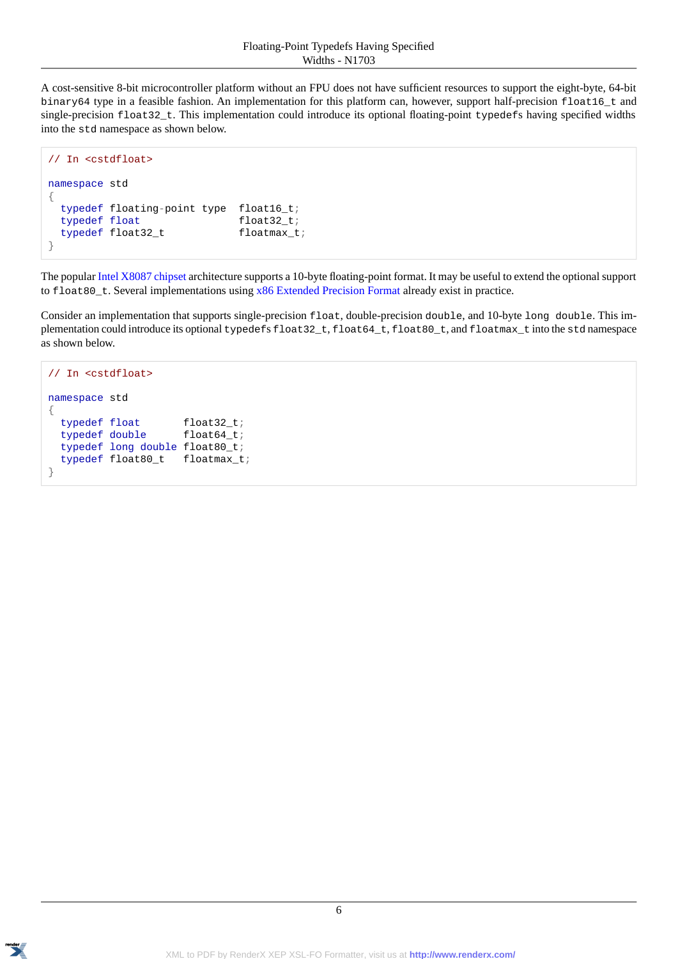A cost-sensitive 8-bit microcontroller platform without an FPU does not have sufficient resources to support the eight-byte, 64-bit binary64 type in a feasible fashion. An implementation for this platform can, however, support half-precision float16\_t and single-precision float32\_t. This implementation could introduce its optional floating-point typedefs having specified widths into the std namespace as shown below.

```
// In <cstdfloat>
namespace std
{
 typedef floating-point type float16_t;
 typedef float float32_t;
 typedef float32_t floatmax_t;
}
```
The popular [Intel X8087 chipset](http://gcc.gnu.org/wiki/x87note) architecture supports a 10-byte floating-point format. It may be useful to extend the optional support to float80\_t. Several implementations using [x86 Extended Precision Format](http://en.wikipedia.org/wiki/Extended_precision#IEEE_754_extended_precision_formats#) already exist in practice.

Consider an implementation that supports single-precision float, double-precision double, and 10-byte long double. This implementation could introduce its optional typedefs float32\_t, float64\_t, float80\_t, and floatmax\_t into the std namespace as shown below.

```
// In <cstdfloat>
namespace std
{
 typedef float float32_t;
 typedef double float64_t;
  typedef long double float80_t;
  typedef float80_t floatmax_t;
}
```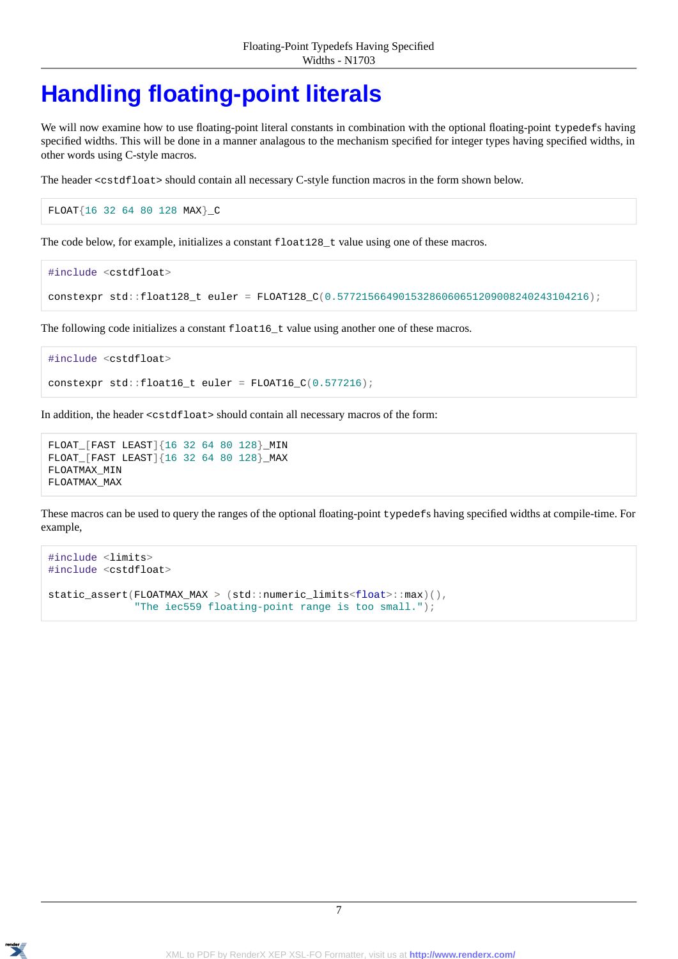### <span id="page-6-0"></span>**[Handling floating-point literals](#page-6-0)**

We will now examine how to use floating-point literal constants in combination with the optional floating-point typedefs having specified widths. This will be done in a manner analagous to the mechanism specified for integer types having specified widths, in other words using C-style macros.

The header <cstdfloat> should contain all necessary C-style function macros in the form shown below.

FLOAT{16 32 64 80 128 MAX}\_C

The code below, for example, initializes a constant  $f$ loat $128$ \_t value using one of these macros.

```
#include <cstdfloat>
constexpr std::float128_t euler = FLOAT128_C(0.57721566490153286060651209008240243104216);
```
The following code initializes a constant float16\_t value using another one of these macros.

```
#include <cstdfloat>
constexpr std::float16_t euler = FLOAT16_C(0.577216);
```
In addition, the header <cstdfloat> should contain all necessary macros of the form:

```
FLOAT_[FAST LEAST]{16 32 64 80 128}_MIN
FLOAT_[FAST LEAST]{16 32 64 80 128}_MAX
FLOATMAX_MIN
FLOATMAX_MAX
```
These macros can be used to query the ranges of the optional floating-point typedefs having specified widths at compile-time. For example,

```
#include <limits>
#include <cstdfloat>
static assert(FLOATMAX MAX > (std::numeric limits<float>::max)(),
              "The iec559 floating-point range is too small.");
```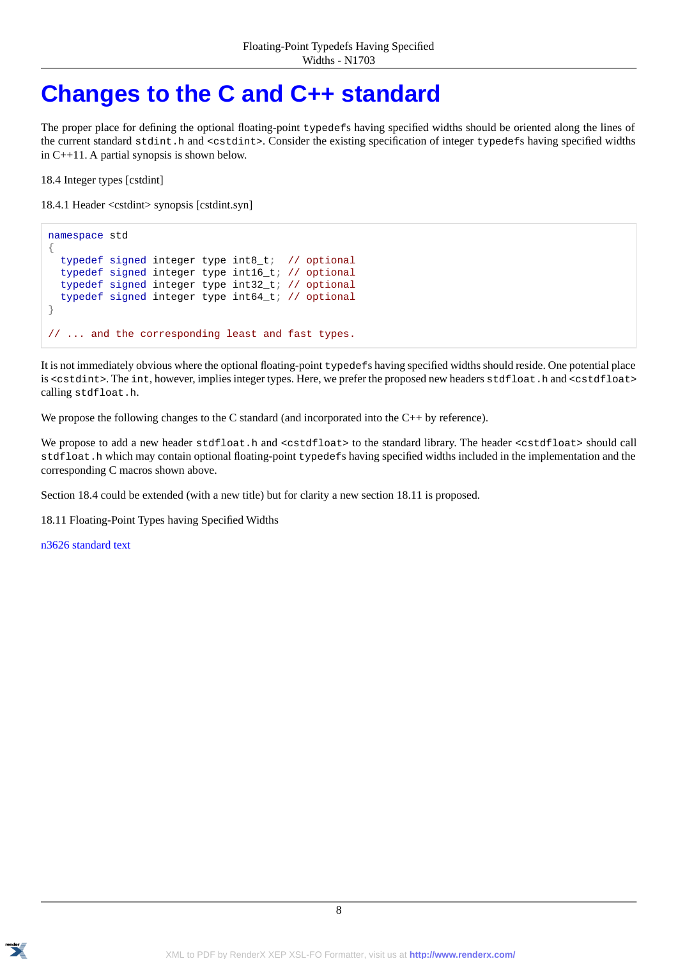### <span id="page-7-0"></span>**[Changes to the C and C++ standard](#page-7-0)**

The proper place for defining the optional floating-point typedefs having specified widths should be oriented along the lines of the current standard stdint.h and <cstdint>. Consider the existing specification of integer typedefs having specified widths in C++11. A partial synopsis is shown below.

18.4 Integer types [cstdint]

18.4.1 Header <cstdint> synopsis [cstdint.syn]

```
namespace std
{
  typedef signed integer type int8_t; // optional
  typedef signed integer type int16_t; // optional
 typedef signed integer type int32_t; // optional
  typedef signed integer type int64_t; // optional
}
// ... and the corresponding least and fast types.
```
It is not immediately obvious where the optional floating-point typedefs having specified widths should reside. One potential place is <cstdint>. The int, however, implies integer types. Here, we prefer the proposed new headers stdfloat.h and <cstdfloat> calling stdfloat.h.

We propose the following changes to the C standard (and incorporated into the C++ by reference).

We propose to add a new header stdfloat.h and <cstdfloat> to the standard library. The header <cstdfloat> should call stdfloat.h which may contain optional floating-point typedefs having specified widths included in the implementation and the corresponding C macros shown above.

Section 18.4 could be extended (with a new title) but for clarity a new section 18.11 is proposed.

18.11 Floating-Point Types having Specified Widths

[n3626 standard text](https://svn.boost.org/svn/boost/sandbox/precision/libs/precision/doc/n3626_standard.html)

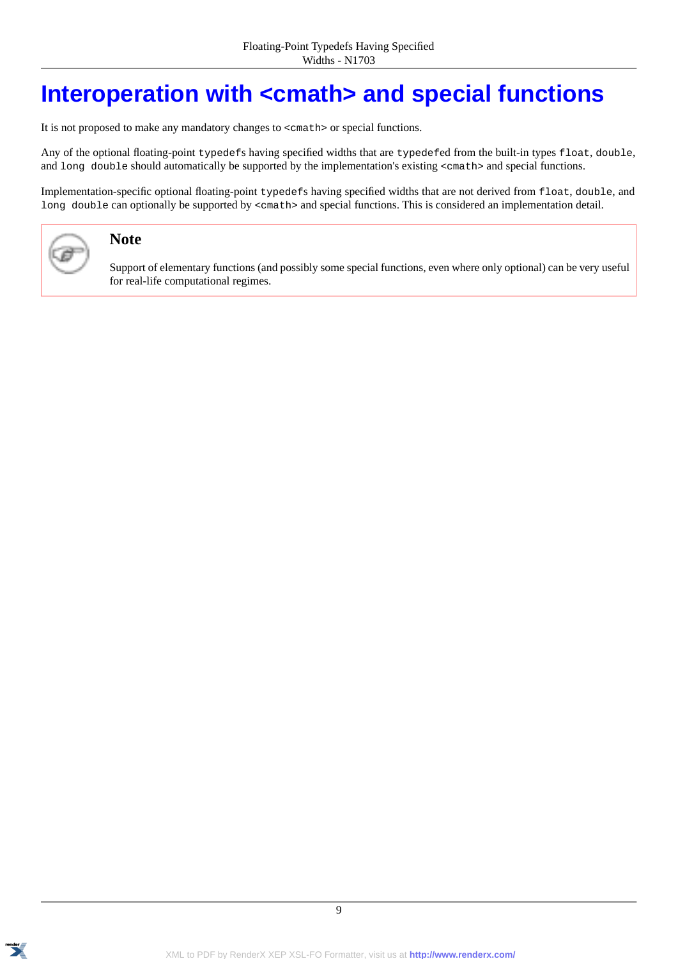### <span id="page-8-0"></span>**[Interoperation with <cmath> and special functions](#page-8-0)**

It is not proposed to make any mandatory changes to <cmath> or special functions.

Any of the optional floating-point typedefs having specified widths that are typedefed from the built-in types float, double, and long double should automatically be supported by the implementation's existing <cmath> and special functions.

Implementation-specific optional floating-point typedefs having specified widths that are not derived from float, double, and long double can optionally be supported by <cmath> and special functions. This is considered an implementation detail.



#### **Note**

Support of elementary functions (and possibly some special functions, even where only optional) can be very useful for real-life computational regimes.

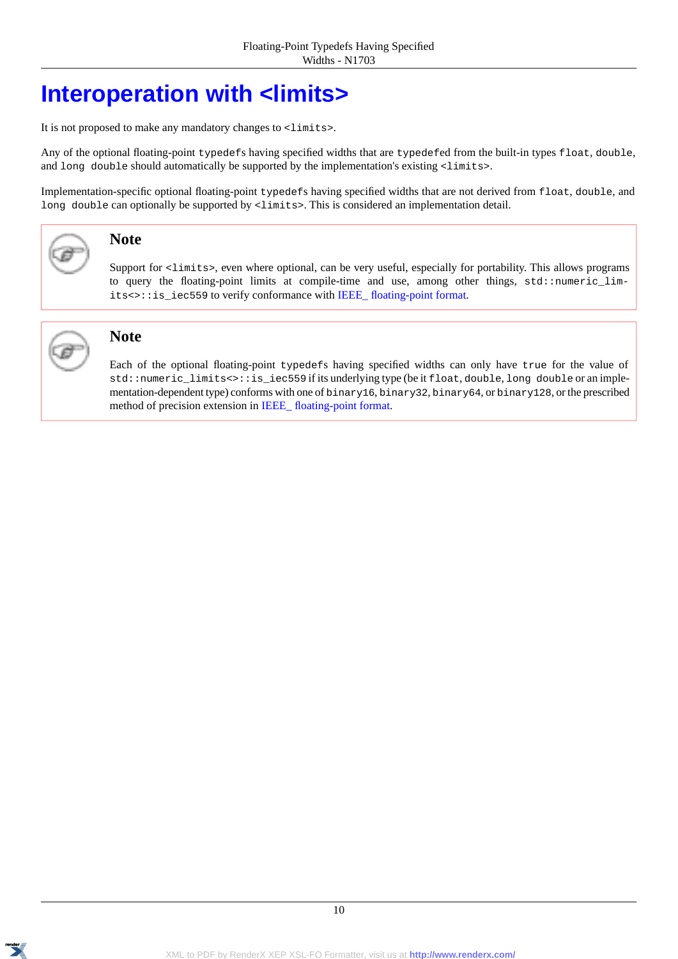### <span id="page-9-0"></span>**[Interoperation with <limits>](#page-9-0)**

It is not proposed to make any mandatory changes to <limits>.

Any of the optional floating-point typedefs having specified widths that are typedefed from the built-in types float, double, and long double should automatically be supported by the implementation's existing <limits>.

Implementation-specific optional floating-point typedefs having specified widths that are not derived from float, double, and long double can optionally be supported by  $\langle$ limits>. This is considered an implementation detail.



#### **Note**

Support for <limits>, even where optional, can be very useful, especially for portability. This allows programs to query the floating-point limits at compile-time and use, among other things, std::numeric\_limits<>::is\_iec559 to verify conformance with IEEE\_floating-point format.



#### **Note**

Each of the optional floating-point typedefs having specified widths can only have true for the value of std::numeric\_limits<>::is\_iec559 if its underlying type (be it float, double, long double or an implementation-dependent type) conforms with one of binary16, binary32, binary64, or binary128, or the prescribed method of precision extension in [IEEE\\_ floating-point format](http://en.wikipedia.org/wiki/IEEE_floating_point).

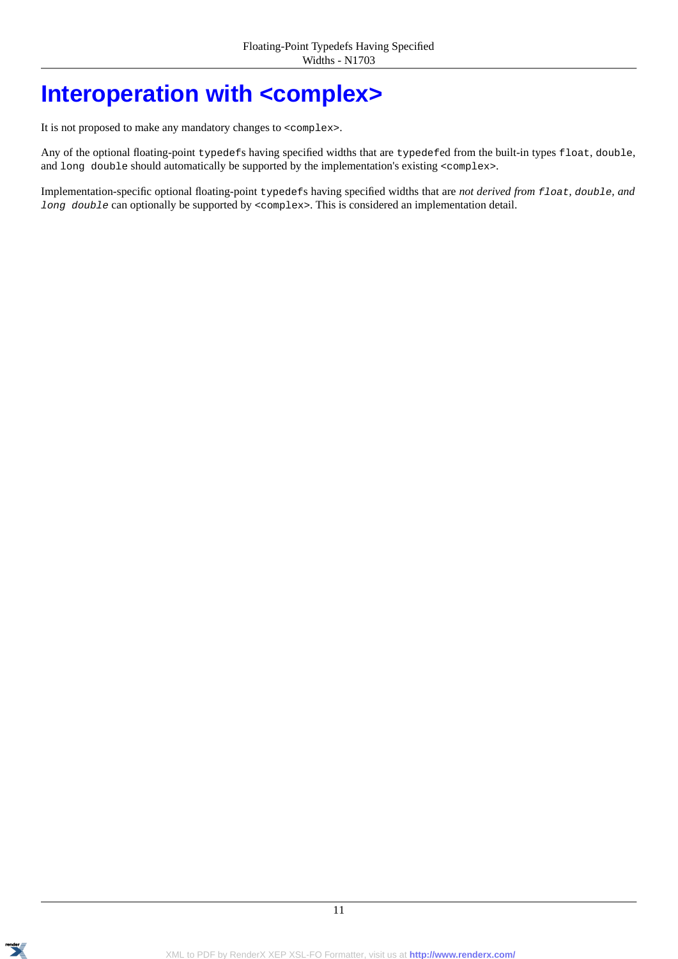### <span id="page-10-0"></span>**[Interoperation with <complex>](#page-10-0)**

It is not proposed to make any mandatory changes to <complex>.

Any of the optional floating-point typedefs having specified widths that are typedefed from the built-in types float, double, and long double should automatically be supported by the implementation's existing <complex>.

Implementation-specific optional floating-point typedefs having specified widths that are *not derived from float, double, and long double* can optionally be supported by <complex>. This is considered an implementation detail.

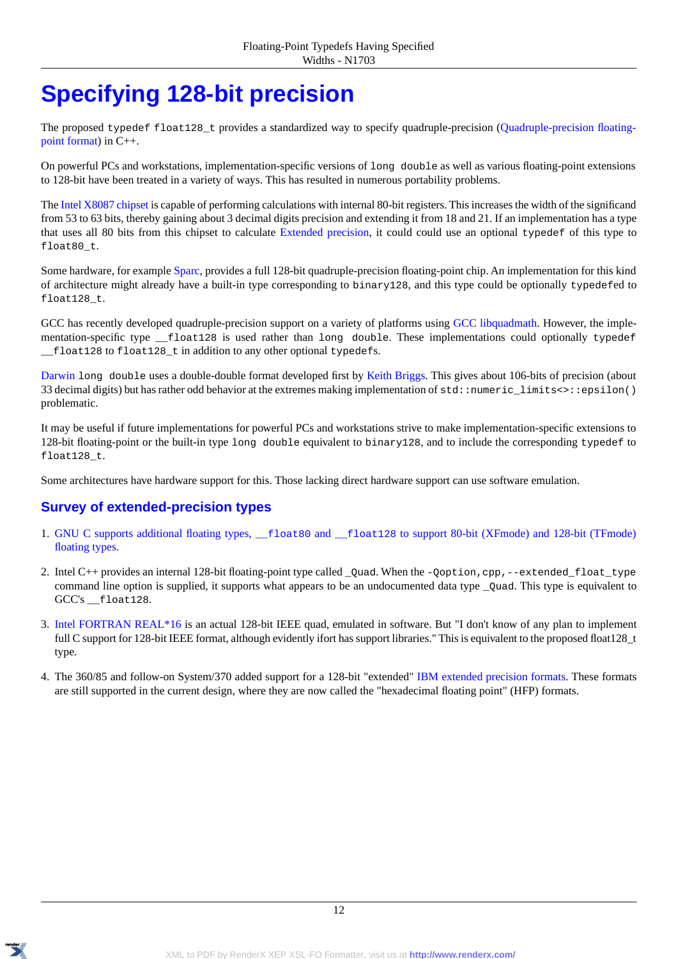## <span id="page-11-0"></span>**[Specifying 128-bit precision](#page-11-0)**

The proposed typedef float128\_t provides a standardized way to specify quadruple-precision ([Quadruple-precision floating](http://en.wikipedia.org/wiki/Quadruple-precision_floating-point_format)[point format\)](http://en.wikipedia.org/wiki/Quadruple-precision_floating-point_format) in C++.

On powerful PCs and workstations, implementation-specific versions of long double as well as various floating-point extensions to 128-bit have been treated in a variety of ways. This has resulted in numerous portability problems.

The [Intel X8087 chipset](http://gcc.gnu.org/wiki/x87note) is capable of performing calculations with internal 80-bit registers. This increases the width of the significand from 53 to 63 bits, thereby gaining about 3 decimal digits precision and extending it from 18 and 21. If an implementation has a type that uses all 80 bits from this chipset to calculate [Extended precision](http://en.wikipedia.org/wiki/Extended_precision), it could could use an optional typedef of this type to float80<sub>t.</sub>

Some hardware, for example [Sparc](http://en.wikipedia.org/wiki/SPARC), provides a full 128-bit quadruple-precision floating-point chip. An implementation for this kind of architecture might already have a built-in type corresponding to binary128, and this type could be optionally typedefed to float128\_t.

GCC has recently developed quadruple-precision support on a variety of platforms using [GCC libquadmath.](http://gcc.gnu.org/onlinedocs/libquadmath/) However, the implementation-specific type \_\_float128 is used rather than long double. These implementations could optionally typedef \_\_float128 to float128\_t in addition to any other optional typedefs.

[Darwin](http://www.opensource.apple.com/source/gcc/gcc-5646/gcc/config/rs6000/darwin-ldouble.c) long double uses a double-double format developed first by [Keith Briggs.](http://keithbriggs.info/doubledouble.html) This gives about 106-bits of precision (about 33 decimal digits) but has rather odd behavior at the extremes making implementation of  $std:$ :numeric\_limits $\langle$ :epsilon() problematic.

It may be useful if future implementations for powerful PCs and workstations strive to make implementation-specific extensions to 128-bit floating-point or the built-in type long double equivalent to binary128, and to include the corresponding typedef to float128\_t.

<span id="page-11-1"></span>Some architectures have hardware support for this. Those lacking direct hardware support can use software emulation.

#### **[Survey of extended-precision types](#page-11-1)**

- 1. GNU C supports additional floating types, \_\_float80 and \_\_float128 [to support 80-bit \(XFmode\) and 128-bit \(TFmode\)](http://gcc.gnu.org/onlinedocs/gcc/Floating-Types.html) [floating types.](http://gcc.gnu.org/onlinedocs/gcc/Floating-Types.html)
- 2. Intel  $C_{++}$  provides an internal 128-bit floating-point type called  $\alpha$ uad. When the -Ooption, cpp,--extended float type command line option is supplied, it supports what appears to be an undocumented data type  $\text{\_}Qu$  and. This type is equivalent to GCC's \_\_float128.
- 3. [Intel FORTRAN REAL\\*16](http://software.intel.com/en-us/forums/topic/358476) is an actual 128-bit IEEE quad, emulated in software. But "I don't know of any plan to implement full C support for 128-bit IEEE format, although evidently ifort has support libraries." This is equivalent to the proposed float 128\_t type.
- 4. The 360/85 and follow-on System/370 added support for a 128-bit "extended" [IBM extended precision formats.](http://en.wikipedia.org/wiki/Extended_precision#IBM_extended_precision_formats) These formats are still supported in the current design, where they are now called the "hexadecimal floating point" (HFP) formats.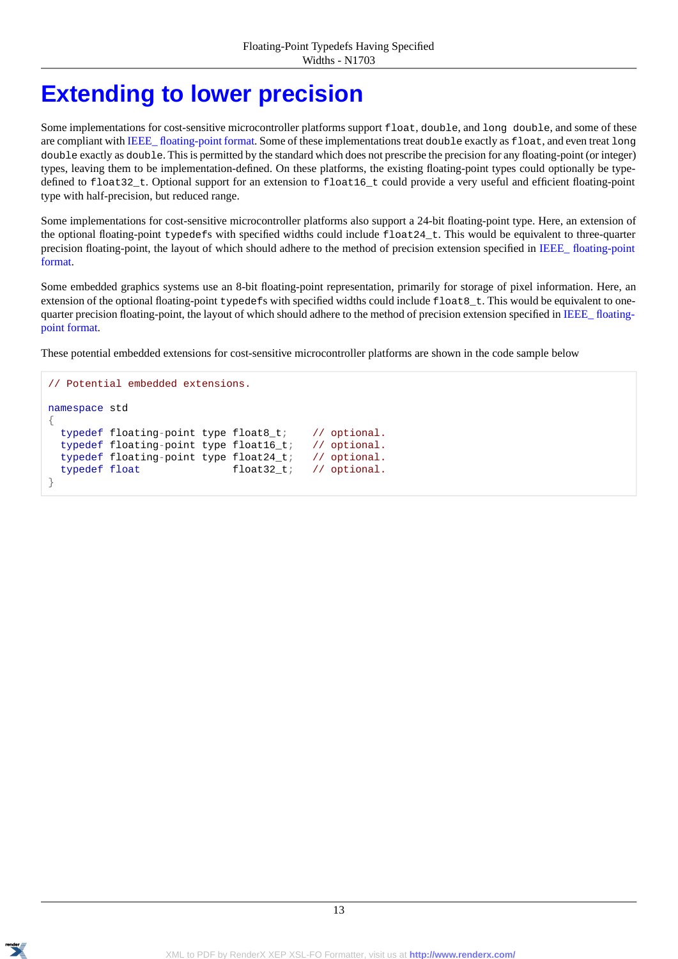### <span id="page-12-0"></span>**[Extending to lower precision](#page-12-0)**

Some implementations for cost-sensitive microcontroller platforms support float, double, and long double, and some of these are compliant with IEEE\_floating-point format. Some of these implementations treat double exactly as float, and even treat long double exactly as double. This is permitted by the standard which does not prescribe the precision for any floating-point (or integer) types, leaving them to be implementation-defined. On these platforms, the existing floating-point types could optionally be typedefined to float32\_t. Optional support for an extension to float16\_t could provide a very useful and efficient floating-point type with half-precision, but reduced range.

Some implementations for cost-sensitive microcontroller platforms also support a 24-bit floating-point type. Here, an extension of the optional floating-point typedefs with specified widths could include float24\_t. This would be equivalent to three-quarter precision floating-point, the layout of which should adhere to the method of precision extension specified in [IEEE\\_ floating-point](http://en.wikipedia.org/wiki/IEEE_floating_point) [format.](http://en.wikipedia.org/wiki/IEEE_floating_point)

Some embedded graphics systems use an 8-bit floating-point representation, primarily for storage of pixel information. Here, an extension of the optional floating-point typedefs with specified widths could include  $f$ loat $g$ <sub>t</sub>. This would be equivalent to one-quarter precision floating-point, the layout of which should adhere to the method of precision extension specified in [IEEE\\_ floating](http://en.wikipedia.org/wiki/IEEE_floating_point)[point format.](http://en.wikipedia.org/wiki/IEEE_floating_point)

These potential embedded extensions for cost-sensitive microcontroller platforms are shown in the code sample below

```
// Potential embedded extensions.
namespace std
{
  typedef floating-point type float8_t; // optional.
  typedef floating-point type float16_t; // optional.
  typedef floating-point type float24_t; // optional.
  typedef float float32_t; // optional.
}
```
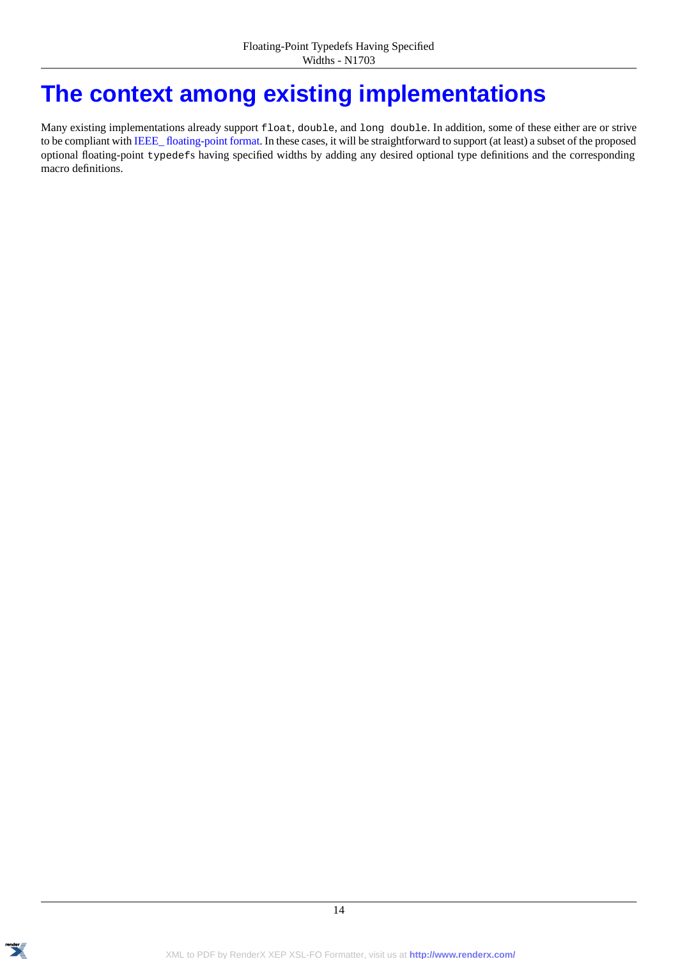### <span id="page-13-0"></span>**[The context among existing implementations](#page-13-0)**

Many existing implementations already support float, double, and long double. In addition, some of these either are or strive to be compliant with [IEEE\\_ floating-point format](http://en.wikipedia.org/wiki/IEEE_floating_point). In these cases, it will be straightforward to support (at least) a subset of the proposed optional floating-point typedefs having specified widths by adding any desired optional type definitions and the corresponding macro definitions.

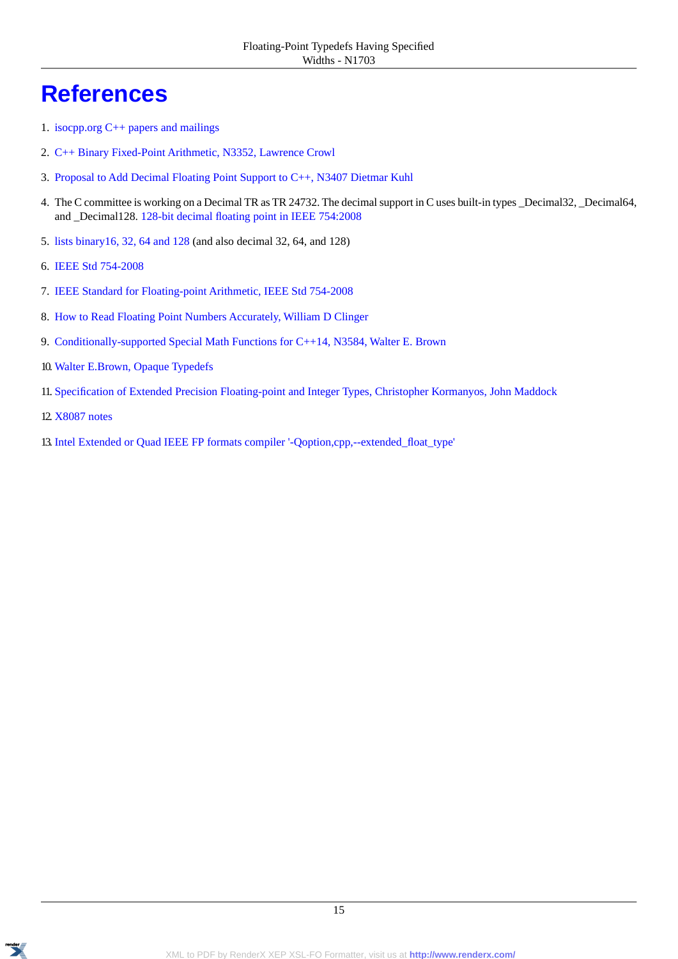### <span id="page-14-0"></span>**[References](#page-14-0)**

- 1. [isocpp.org C++ papers and mailings](http://isocpp.org/std/meetings-and-participation/papers-and-mailings)
- 2. [C++ Binary Fixed-Point Arithmetic, N3352, Lawrence Crowl](http://www.open-std.org/jtc1/sc22/wg21/docs/papers/2012/n3352.html)
- 3. [Proposal to Add Decimal Floating Point Support to C++, N3407 Dietmar Kuhl](http://www.open-std.org/jtc1/sc22/wg21/docs/papers/2012/n3407.html)
- 4. The C committee is working on a Decimal TR as TR 24732. The decimal support in C uses built-in types \_Decimal32, \_Decimal64, and \_Decimal128. [128-bit decimal floating point in IEEE 754:2008](http://www.cesura17.net/~will/Professional/Research/Papers/retrospective.pdf)
- 5. [lists binary16, 32, 64 and 128](http://en.wikipedia.org/wiki/IEEE_floating_point) (and also decimal 32, 64, and 128)
- 6. [IEEE Std 754-2008](http://ieeexplore.ieee.org/xpl/mostRecentIssue.jsp?punumber=4610933)
- 7. [IEEE Standard for Floating-point Arithmetic, IEEE Std 754-2008](http://dx.doi.org/10.1109/IEEESTD.2008.4610935)
- 8. [How to Read Floating Point Numbers Accurately, William D Clinger](http://www.cesura17.net/~will/Professional/Research/Papers/retrospective.pdf)
- 9. [Conditionally-supported Special Math Functions for C++14, N3584, Walter E. Brown](http://www.open-std.org/JTC1/SC22/WG21/docs/papers/2013/n3548.pdf)
- 10. [Walter E.Brown, Opaque Typedefs](I:/boost-sandbox/precision/libs/precision/doc/html/www.open-std.org/jtc1/sc22/wg21/docs/papers/2013/n3515.pdf)
- 11.[Specification of Extended Precision Floating-point and Integer Types, Christopher Kormanyos, John Maddock](http://open-std.org/jtc1/sc22/wg21/docs/papers/2013/n????.pdf)
- 12. [X8087 notes](http://gcc.gnu.org/wiki/x87note)
- 13. [Intel Extended or Quad IEEE FP formats compiler '-Qoption,cpp,--extended\\_float\\_type'](http://software.intel.com/en-us/forums/topic/304052)

15